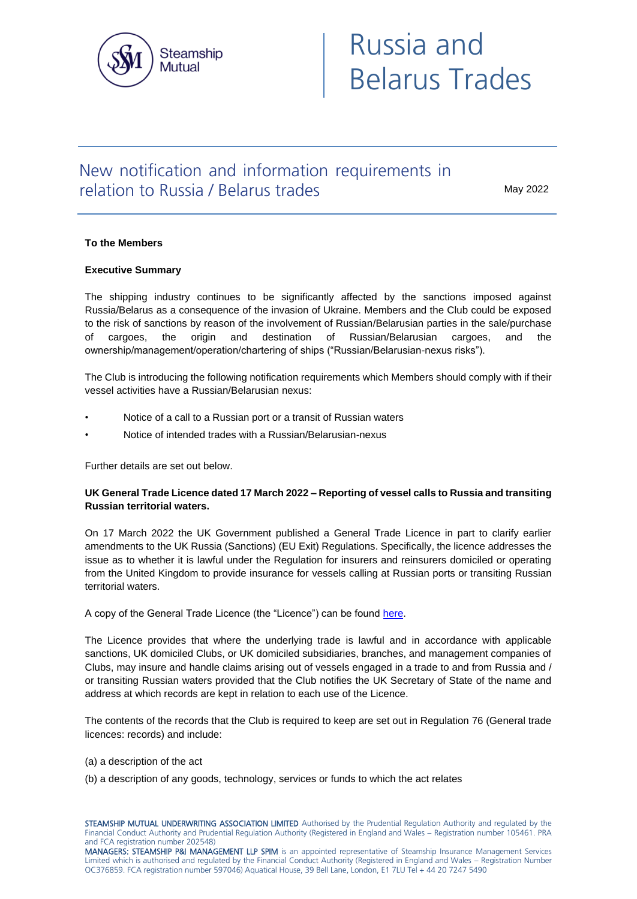

# Russia and Belarus Trades

## New notification and information requirements in relation to Russia / Belarus trades

May 2022

#### **To the Members**

#### **Executive Summary**

The shipping industry continues to be significantly affected by the sanctions imposed against Russia/Belarus as a consequence of the invasion of Ukraine. Members and the Club could be exposed to the risk of sanctions by reason of the involvement of Russian/Belarusian parties in the sale/purchase of cargoes, the origin and destination of Russian/Belarusian cargoes, and the ownership/management/operation/chartering of ships ("Russian/Belarusian-nexus risks").

The Club is introducing the following notification requirements which Members should comply with if their vessel activities have a Russian/Belarusian nexus:

- Notice of a call to a Russian port or a transit of Russian waters
- Notice of intended trades with a Russian/Belarusian-nexus

Further details are set out below.

#### **UK General Trade Licence dated 17 March 2022 – Reporting of vessel calls to Russia and transiting Russian territorial waters.**

On 17 March 2022 the UK Government published a General Trade Licence in part to clarify earlier amendments to the UK Russia (Sanctions) (EU Exit) Regulations. Specifically, the licence addresses the issue as to whether it is lawful under the Regulation for insurers and reinsurers domiciled or operating from the United Kingdom to provide insurance for vessels calling at Russian ports or transiting Russian territorial waters.

A copy of the General Trade Licence (the "Licence") can be found [here.](https://www.gov.uk/government/publications/general-trade-licence-russia-sanctions-vessels)

The Licence provides that where the underlying trade is lawful and in accordance with applicable sanctions, UK domiciled Clubs, or UK domiciled subsidiaries, branches, and management companies of Clubs, may insure and handle claims arising out of vessels engaged in a trade to and from Russia and / or transiting Russian waters provided that the Club notifies the UK Secretary of State of the name and address at which records are kept in relation to each use of the Licence.

The contents of the records that the Club is required to keep are set out in Regulation 76 (General trade licences: records) and include:

- (a) a description of the act
- (b) a description of any goods, technology, services or funds to which the act relates

STEAMSHIP MUTUAL UNDERWRITING ASSOCIATION LIMITED Authorised by the Prudential Regulation Authority and regulated by the Financial Conduct Authority and Prudential Regulation Authority (Registered in England and Wales – Registration number 105461. PRA and FCA registration number 202548)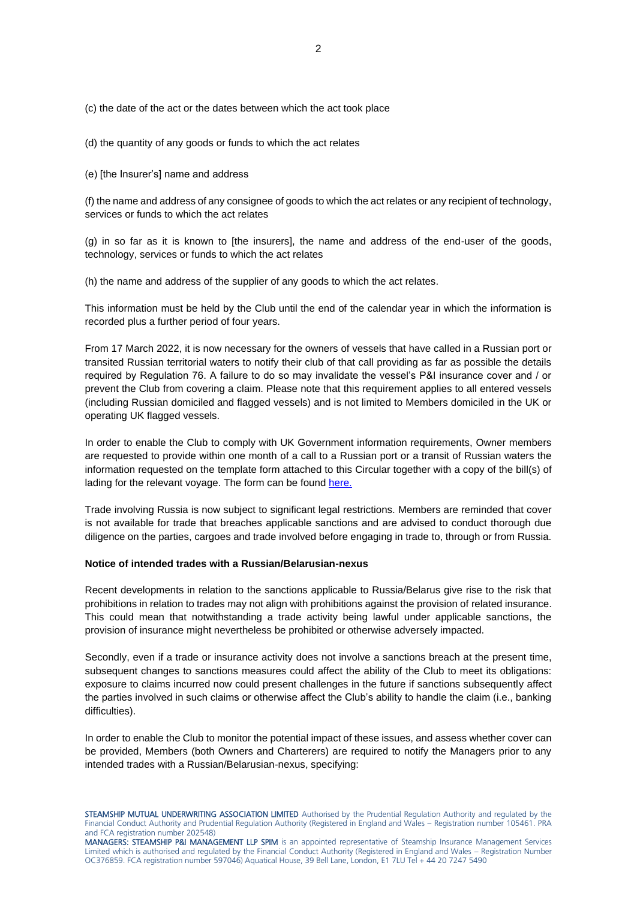(c) the date of the act or the dates between which the act took place

(d) the quantity of any goods or funds to which the act relates

(e) [the Insurer's] name and address

(f) the name and address of any consignee of goods to which the act relates or any recipient of technology, services or funds to which the act relates

(g) in so far as it is known to [the insurers], the name and address of the end-user of the goods, technology, services or funds to which the act relates

(h) the name and address of the supplier of any goods to which the act relates.

This information must be held by the Club until the end of the calendar year in which the information is recorded plus a further period of four years.

From 17 March 2022, it is now necessary for the owners of vessels that have called in a Russian port or transited Russian territorial waters to notify their club of that call providing as far as possible the details required by Regulation 76. A failure to do so may invalidate the vessel's P&I insurance cover and / or prevent the Club from covering a claim. Please note that this requirement applies to all entered vessels (including Russian domiciled and flagged vessels) and is not limited to Members domiciled in the UK or operating UK flagged vessels.

In order to enable the Club to comply with UK Government information requirements, Owner members are requested to provide within one month of a call to a Russian port or a transit of Russian waters the information requested on the template form attached to this Circular together with a copy of the bill(s) of lading for the relevant voyage. The form can be found [here.](http://www.steamshipmutual.com/Downloads/Loss-Prevention/SSM%20SPIRE%20reporting%20template.xlsx)

Trade involving Russia is now subject to significant legal restrictions. Members are reminded that cover is not available for trade that breaches applicable sanctions and are advised to conduct thorough due diligence on the parties, cargoes and trade involved before engaging in trade to, through or from Russia.

#### **Notice of intended trades with a Russian/Belarusian-nexus**

Recent developments in relation to the sanctions applicable to Russia/Belarus give rise to the risk that prohibitions in relation to trades may not align with prohibitions against the provision of related insurance. This could mean that notwithstanding a trade activity being lawful under applicable sanctions, the provision of insurance might nevertheless be prohibited or otherwise adversely impacted.

Secondly, even if a trade or insurance activity does not involve a sanctions breach at the present time, subsequent changes to sanctions measures could affect the ability of the Club to meet its obligations: exposure to claims incurred now could present challenges in the future if sanctions subsequently affect the parties involved in such claims or otherwise affect the Club's ability to handle the claim (i.e., banking difficulties).

In order to enable the Club to monitor the potential impact of these issues, and assess whether cover can be provided, Members (both Owners and Charterers) are required to notify the Managers prior to any intended trades with a Russian/Belarusian-nexus, specifying:

STEAMSHIP MUTUAL UNDERWRITING ASSOCIATION LIMITED Authorised by the Prudential Regulation Authority and regulated by the Financial Conduct Authority and Prudential Regulation Authority (Registered in England and Wales – Registration number 105461. PRA and FCA registration number 202548)

MANAGERS: STEAMSHIP P&I MANAGEMENT LLP SPIM is an appointed representative of Steamship Insurance Management Services Limited which is authorised and regulated by the Financial Conduct Authority (Registered in England and Wales – Registration Number OC376859. FCA registration number 597046) Aquatical House, 39 Bell Lane, London, E1 7LU Tel + 44 20 7247 5490